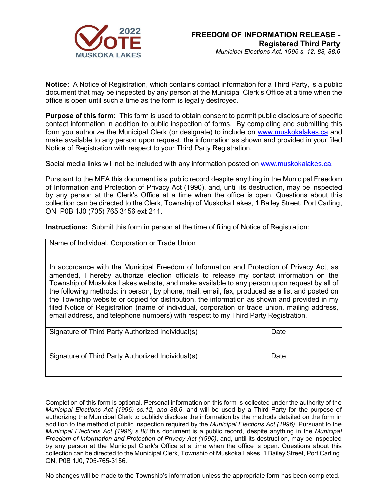

**Notice:** A Notice of Registration, which contains contact information for a Third Party, is a public document that may be inspected by any person at the Municipal Clerk's Office at a time when the office is open until such a time as the form is legally destroyed.

**Purpose of this form:** This form is used to obtain consent to permit public disclosure of specific contact information in addition to public inspection of forms. By completing and submitting this form you authorize the Municipal Clerk (or designate) to include on [www.muskokalakes.ca](http://www.muskokalakes.ca/) and make available to any person upon request, the information as shown and provided in your filed Notice of Registration with respect to your Third Party Registration.

Social media links will not be included with any information posted on [www.muskokalakes.ca.](http://www.muskokalakes.ca/)

Pursuant to the MEA this document is a public record despite anything in the Municipal Freedom of Information and Protection of Privacy Act (1990), and, until its destruction, may be inspected by any person at the Clerk's Office at a time when the office is open. Questions about this collection can be directed to the Clerk, Township of Muskoka Lakes, 1 Bailey Street, Port Carling, ON P0B 1J0 (705) 765 3156 ext 211.

**Instructions:** Submit this form in person at the time of filing of Notice of Registration:

Name of Individual, Corporation or Trade Union

In accordance with the Municipal Freedom of Information and Protection of Privacy Act, as amended, I hereby authorize election officials to release my contact information on the Township of Muskoka Lakes website, and make available to any person upon request by all of the following methods: in person, by phone, mail, email, fax, produced as a list and posted on the Township website or copied for distribution, the information as shown and provided in my filed Notice of Registration (name of individual, corporation or trade union, mailing address, email address, and telephone numbers) with respect to my Third Party Registration.

| Signature of Third Party Authorized Individual(s) | Date |
|---------------------------------------------------|------|
| Signature of Third Party Authorized Individual(s) | Date |

Completion of this form is optional. Personal information on this form is collected under the authority of the *Municipal Elections Act (1996) ss.12, and 88.6*, and will be used by a Third Party for the purpose of authorizing the Municipal Clerk to publicly disclose the information by the methods detailed on the form in addition to the method of public inspection required by the *Municipal Elections Act (1996)*. Pursuant to the *Municipal Elections Act (1996) s.88* this document is a public record, despite anything in the *Municipal Freedom of Information and Protection of Privacy Act (1990)*, and, until its destruction, may be inspected by any person at the Municipal Clerk's Office at a time when the office is open. Questions about this collection can be directed to the Municipal Clerk, Township of Muskoka Lakes, 1 Bailey Street, Port Carling, ON, P0B 1J0, 705-765-3156.

No changes will be made to the Township's information unless the appropriate form has been completed.